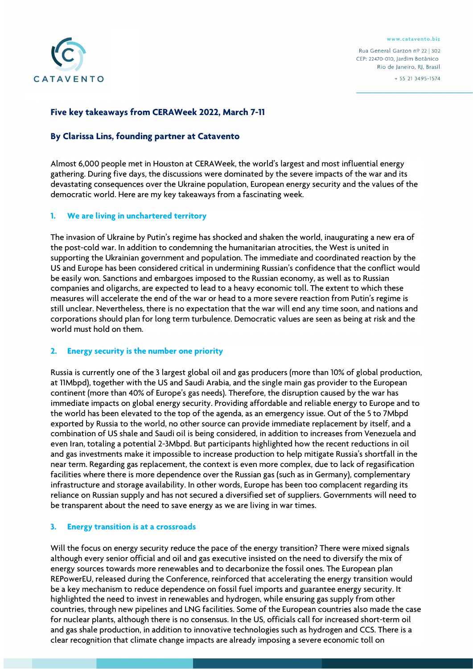

www.catavento.biz

Rua General Garzon nº 22 | 302 CEP: 22470-010. Jardim Botânico Rio de Janeiro, RJ, Brasil  $+ 55 21 3495 - 1574$ 

Five key takeaways from CERAWeek 2022, March 7-11

# By Clarissa Lins, founding partner at Catavento

Almost 6,000 people met in Houston at CERAWeek, the world's largest and most influential energy gathering. During five days, the discussions were dominated by the severe impacts of the war and its devastating consequences over the Ukraine population, European energy security and the values of the democratic world. Here are my key takeaways from a fascinating week.

## 1. We are living in unchartered territory

The invasion of Ukraine by Putin's regime has shocked and shaken the world, inaugurating a new era of the post-cold war. In addition to condemning the humanitarian atrocities, the West is united in supporting the Ukrainian government and population. The immediate and coordinated reaction by the US and Europe has been considered critical in undermining Russian's confidence that the conflict would be easily won. Sanctions and embargoes imposed to the Russian economy, as well as to Russian companies and oligarchs, are expected to lead to a heavy economic toll. The extent to which these measures will accelerate the end of the war or head to a more severe reaction from Putin's regime is still unclear. Nevertheless, there is no expectation that the war will end any time soon, and nations and corporations should plan for long term turbulence. Democratic values are seen as being at risk and the world must hold on them.

## 2. Energy security is the number one priority

Russia is currently one of the 3 largest global oil and gas producers (more than 10% of global production, at 11Mbpd), together with the US and Saudi Arabia, and the single main gas provider to the European continent (more than 40% of Europe's gas needs). Therefore, the disruption caused by the war has immediate impacts on global energy security. Providing affordable and reliable energy to Europe and to the world has been elevated to the top of the agenda, as an emergency issue. Out of the 5 to 7Mbpd exported by Russia to the world, no other source can provide immediate replacement by itself, and a combination of US shale and Saudi oil is being considered, in addition to increases from Venezuela and even Iran, totaling a potential 2-3Mbpd. But participants highlighted how the recent reductions in oil and gas investments make it impossible to increase production to help mitigate Russia's shortfall in the near term. Regarding gas replacement, the context is even more complex, due to lack of regasification facilities where there is more dependence over the Russian gas (such as in Germany), complementary infrastructure and storage availability. In other words, Europe has been too complacent regarding its reliance on Russian supply and has not secured a diversified set of suppliers. Governments will need to be transparent about the need to save energy as we are living in war times.

## 3. Energy transition is at a crossroads

Will the focus on energy security reduce the pace of the energy transition? There were mixed signals although every senior official and oil and gas executive insisted on the need to diversify the mix of energy sources towards more renewables and to decarbonize the fossil ones. The European plan REPowerEU, released during the Conference, reinforced that accelerating the energy transition would be a key mechanism to reduce dependence on fossil fuel imports and guarantee energy security. It highlighted the need to invest in renewables and hydrogen, while ensuring gas supply from other countries, through new pipelines and LNG facilities. Some of the European countries also made the case for nuclear plants, although there is no consensus. In the US, officials call for increased short-term oil and gas shale production, in addition to innovative technologies such as hydrogen and CCS. There is a clear recognition that climate change impacts are already imposing a severe economic toll on